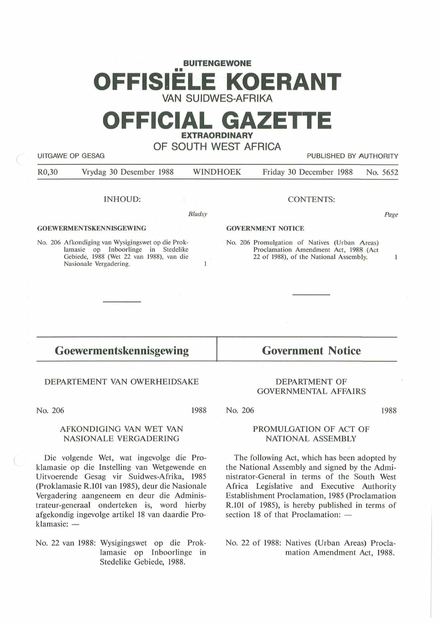# **BUITENGEWONE**  •• **OFFISIELE KOERANT VAN SUIDWES-AFRIKA**

# **OFFICIAL GAZETTE EXTRAORDINARY**

**OF SOUTH WEST AFRICA** 

| UITGAWE OP GESAG |  |  |
|------------------|--|--|

R0,30 Vrydag 30 Desember 1988 WINDHOEK Friday 30 December 1988 No. 5652

#### INHOUD:

*Bladsy* 

 $\mathbf{1}$ 

#### **GOEWERMENTSKENNISGEWING**

No. 206 Afkondiging van Wysigingswet op die Proklamasie op Inboorlinge in Stedelike Gebiede, 1988 (Wet 22 van 1988), van die Nasionale Vergadering.

#### **GOVERNMENT NOTICE**

No. 206 Promulgation of Natives (Urban Areas) Proclamation Amendment Act, 1988 (Act 22 of 1988), of the National Assembly.

CONTENTS:

Page

PUBLISHED BY AUTHORITY

# $\mathbf{1}$

**Goewermentskennisgewing** 

#### DEPARTEMENT VAN OWERHEIDSAKE

No. 206

1988

### AFKONDIGING VAN WET VAN NASIONALE VERGADERING

Die volgende Wet, wat ingevolge die Proklamasie op die Instelling van Wetgewende en Uitvoerende Gesag vir Suidwes-Afrika, 1985 (Proklamasie R.101 van 1985), deur die Nasionale Vergadering aangeneem en deur die Administrateur-generaal onderteken is, word hierby af gekondig ingevolge artikel 18 van daardie Proklamasie: -

No. 22 van 1988: Wysigingswet op die Proklamasie op Inboorlinge in Stedelike Gebiede, 1988.

## **Government Notice**

#### DEPARTMENT OF **GOVERNMENTAL AFFAIRS**

No. 206

1988

#### PROMULGATION OF ACT OF **NATIONAL ASSEMBLY**

The following Act, which has been adopted by the National Assembly and signed by the Administrator-General in terms of the South West Africa Legislative and Executive Authority Establishment Proclamation, 1985 (Proclamation R.101 of 1985), is hereby published in terms of section 18 of that Proclamation:  $-$ 

No. 22 of 1988: Natives (Urban Areas) Proclamation Amendment Act, 1988.